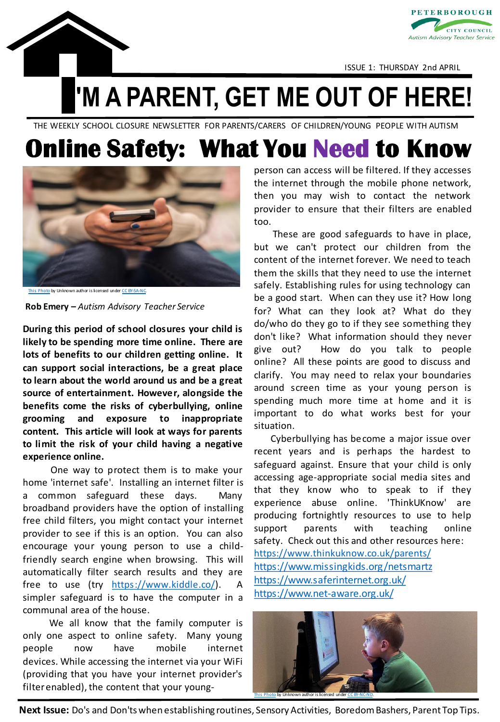



ISSUE 1: THURSDAY 2nd APRIL

**'M A PARENT, GET ME OUT OF HERE!**

THE WEEKLY SCHOOL CLOSURE NEWSLETTER FOR PARENTS/CARERS OF CHILDREN/YOUNG PEOPLE WITH AUTISM

## **Online Safety: What You Need to Know**



[This Photo](http://exde601e.blogspot.com/2014/12/secret-language-of-instagram-girls.html) by Unknown author is licensed under [CC BY-SA-NC.](https://creativecommons.org/licenses/by-nc-sa/3.0/)

**Rob Emery –** *Autism Advisory Teacher Service*

**During this period of school closures your child is likely to be spending more time online. There are lots of benefits to our children getting online. It can support social interactions, be a great place to learn about the world around us and be a great source of entertainment. However, alongside the benefits come the risks of cyberbullying, online grooming and exposure to inappropriate content. This article will look at ways for parents to limit the risk of your child having a negative experience online.**

One way to protect them is to make your home 'internet safe'. Installing an internet filter is a common safeguard these days. Many broadband providers have the option of installing free child filters, you might contact your internet provider to see if this is an option. You can also encourage your young person to use a childfriendly search engine when browsing. This will automatically filter search results and they are free to use (try [https://www.kiddle.co/\)](https://www.kiddle.co/). A simpler safeguard is to have the computer in a communal area of the house.

We all know that the family computer is only one aspect to online safety. Many young people now have mobile internet devices. While accessing the internet via your WiFi (providing that you have your internet provider's filterenabled), the content that your youngperson can access will be filtered. If they accesses the internet through the mobile phone network, then you may wish to contact the network provider to ensure that their filters are enabled too.

These are good safeguards to have in place, but we can't protect our children from the content of the internet forever. We need to teach them the skills that they need to use the internet safely. Establishing rules for using technology can be a good start. When can they use it? How long for? What can they look at? What do they do/who do they go to if they see something they don't like? What information should they never give out? How do you talk to people online? All these points are good to discuss and clarify. You may need to relax your boundaries around screen time as your young person is spending much more time at home and it is important to do what works best for your situation.

Cyberbullying has become a major issue over recent years and is perhaps the hardest to safeguard against. Ensure that your child is only accessing age-appropriate social media sites and that they know who to speak to if they experience abuse online. 'ThinkUKnow' are producing fortnightly resources to use to help support parents with teaching online safety. Check out this and other resources here: [https://www.thinkuknow.co.uk/parents/](https://www.thinkuknow.co.uk/parents/support-tools/home-activity-worksheets) <https://www.missingkids.org/netsmartz> <https://www.saferinternet.org.uk/> <https://www.net-aware.org.uk/>



**Next Issue:** Do's and Don'ts when establishing routines, Sensory Activities, Boredom Bashers, Parent Top Tips.